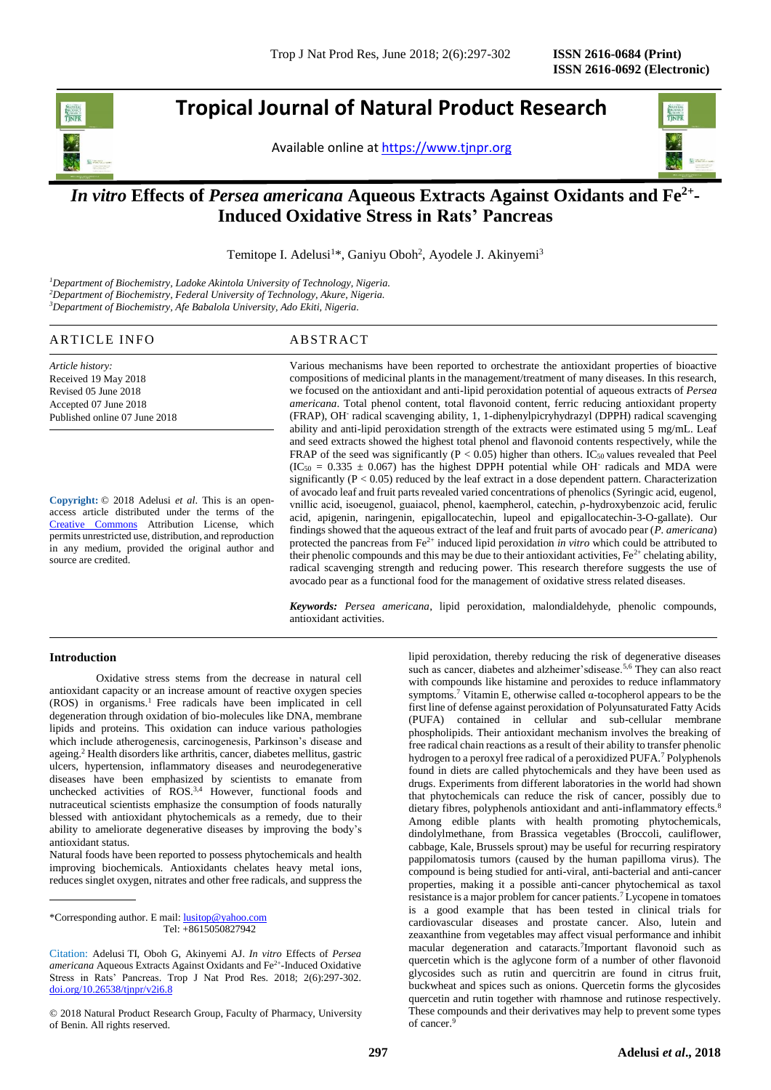j

# **Tropical Journal of Natural Product Research**

Available online at [https://www.tjnpr.org](https://www.tjnpr.org/)



# *In vitro* **Effects of** *Persea americana* **Aqueous Extracts Against Oxidants and Fe2+ - Induced Oxidative Stress in Rats' Pancreas**

Temitope I. Adelusi<sup>1\*</sup>, Ganiyu Oboh<sup>2</sup>, Ayodele J. Akinyemi<sup>3</sup>

*<sup>1</sup>Department of Biochemistry, Ladoke Akintola University of Technology, Nigeria. <sup>2</sup>Department of Biochemistry, Federal University of Technology, Akure, Nigeria. <sup>3</sup>Department of Biochemistry, Afe Babalola University, Ado Ekiti, Nigeria.*

# ARTICLE INFO ABSTRACT

*Article history:* Received 19 May 2018 Revised 05 June 2018 Accepted 07 June 2018 Published online 07 June 2018

**Copyright:** © 2018 Adelusi *et al*. This is an openaccess article distributed under the terms of the [Creative Commons](https://creativecommons.org/licenses/by/4.0/) Attribution License, which permits unrestricted use, distribution, and reproduction in any medium, provided the original author and source are credited.

Various mechanisms have been reported to orchestrate the antioxidant properties of bioactive compositions of medicinal plants in the management/treatment of many diseases. In this research, we focused on the antioxidant and anti-lipid peroxidation potential of aqueous extracts of *Persea americana*. Total phenol content, total flavonoid content, ferric reducing antioxidant property (FRAP), OH-radical scavenging ability, 1, 1-diphenylpicryhydrazyl (DPPH) radical scavenging ability and anti-lipid peroxidation strength of the extracts were estimated using 5 mg/mL. Leaf and seed extracts showed the highest total phenol and flavonoid contents respectively, while the FRAP of the seed was significantly ( $P < 0.05$ ) higher than others. IC<sub>50</sub> values revealed that Peel  $(IC<sub>50</sub> = 0.335 \pm 0.067)$  has the highest DPPH potential while OH radicals and MDA were significantly  $(P < 0.05)$  reduced by the leaf extract in a dose dependent pattern. Characterization of avocado leaf and fruit parts revealed varied concentrations of phenolics (Syringic acid, eugenol, vnillic acid, isoeugenol, guaiacol, phenol, kaempherol, catechin, ρ-hydroxybenzoic acid, ferulic acid, apigenin, naringenin, epigallocatechin, lupeol and epigallocatechin-3-O-gallate). Our findings showed that the aqueous extract of the leaf and fruit parts of avocado pear (*P. americana*) protected the pancreas from Fe<sup>2+</sup> induced lipid peroxidation *in vitro* which could be attributed to their phenolic compounds and this may be due to their antioxidant activities,  $Fe^{2+}$  chelating ability, radical scavenging strength and reducing power. This research therefore suggests the use of avocado pear as a functional food for the management of oxidative stress related diseases.

*Keywords: Persea americana*, lipid peroxidation, malondialdehyde, phenolic compounds, antioxidant activities.

#### **Introduction**

Oxidative stress stems from the decrease in natural cell antioxidant capacity or an increase amount of reactive oxygen species (ROS) in organisms.<sup>1</sup> Free radicals have been implicated in cell degeneration through oxidation of bio-molecules like DNA, membrane lipids and proteins. This oxidation can induce various pathologies which include atherogenesis, carcinogenesis, Parkinson's disease and ageing.<sup>2</sup> Health disorders like arthritis, cancer, diabetes mellitus, gastric ulcers, hypertension, inflammatory diseases and neurodegenerative diseases have been emphasized by scientists to emanate from unchecked activities of ROS.<sup>3,4</sup> However, functional foods and nutraceutical scientists emphasize the consumption of foods naturally blessed with antioxidant phytochemicals as a remedy, due to their ability to ameliorate degenerative diseases by improving the body's antioxidant status.

Natural foods have been reported to possess phytochemicals and health improving biochemicals. Antioxidants chelates heavy metal ions, reduces singlet oxygen, nitrates and other free radicals, and suppress the

lipid peroxidation, thereby reducing the risk of degenerative diseases such as cancer, diabetes and alzheimer'sdisease.<sup>5,6</sup> They can also react with compounds like histamine and peroxides to reduce inflammatory symptoms.<sup>7</sup> Vitamin E, otherwise called α-tocopherol appears to be the first line of defense against peroxidation of Polyunsaturated Fatty Acids (PUFA) contained in cellular and sub-cellular membrane phospholipids. Their antioxidant mechanism involves the breaking of free radical chain reactions as a result of their ability to transfer phenolic hydrogen to a peroxyl free radical of a peroxidized PUFA.<sup>7</sup> Polyphenols found in diets are called phytochemicals and they have been used as drugs. Experiments from different laboratories in the world had shown that phytochemicals can reduce the risk of cancer, possibly due to dietary fibres, polyphenols antioxidant and anti-inflammatory effects.<sup>8</sup> Among edible plants with health promoting phytochemicals, dindolylmethane, from Brassica vegetables (Broccoli, cauliflower, cabbage, Kale, Brussels sprout) may be useful for recurring respiratory pappilomatosis tumors (caused by the human papilloma virus). The compound is being studied for anti-viral, anti-bacterial and anti-cancer properties, making it a possible anti-cancer phytochemical as taxol resistance is a major problem for cancer patients.<sup>7</sup> Lycopene in tomatoes is a good example that has been tested in clinical trials for cardiovascular diseases and prostate cancer. Also, lutein and zeaxanthine from vegetables may affect visual performance and inhibit macular degeneration and cataracts.<sup>7</sup>Important flavonoid such as quercetin which is the aglycone form of a number of other flavonoid glycosides such as rutin and quercitrin are found in citrus fruit, buckwheat and spices such as onions. Quercetin forms the glycosides quercetin and rutin together with rhamnose and rutinose respectively. These compounds and their derivatives may help to prevent some types of cancer.<sup>9</sup>

<sup>\*</sup>Corresponding author. E mail[: lusitop@yahoo.com](mailto:lusitop@yahoo.com)  Tel: +8615050827942

Citation: Adelusi TI, Oboh G, Akinyemi AJ. *In vitro* Effects of *Persea*  americana Aqueous Extracts Against Oxidants and Fe<sup>2+</sup>-Induced Oxidative Stress in Rats' Pancreas. Trop J Nat Prod Res. 2018; 2(6):297-302. [doi.org/10.26538/tjnpr/v2i6.8](http://www.doi.org/10.26538/tjnpr/v1i4.5)

<sup>© 2018</sup> Natural Product Research Group, Faculty of Pharmacy, University of Benin. All rights reserved.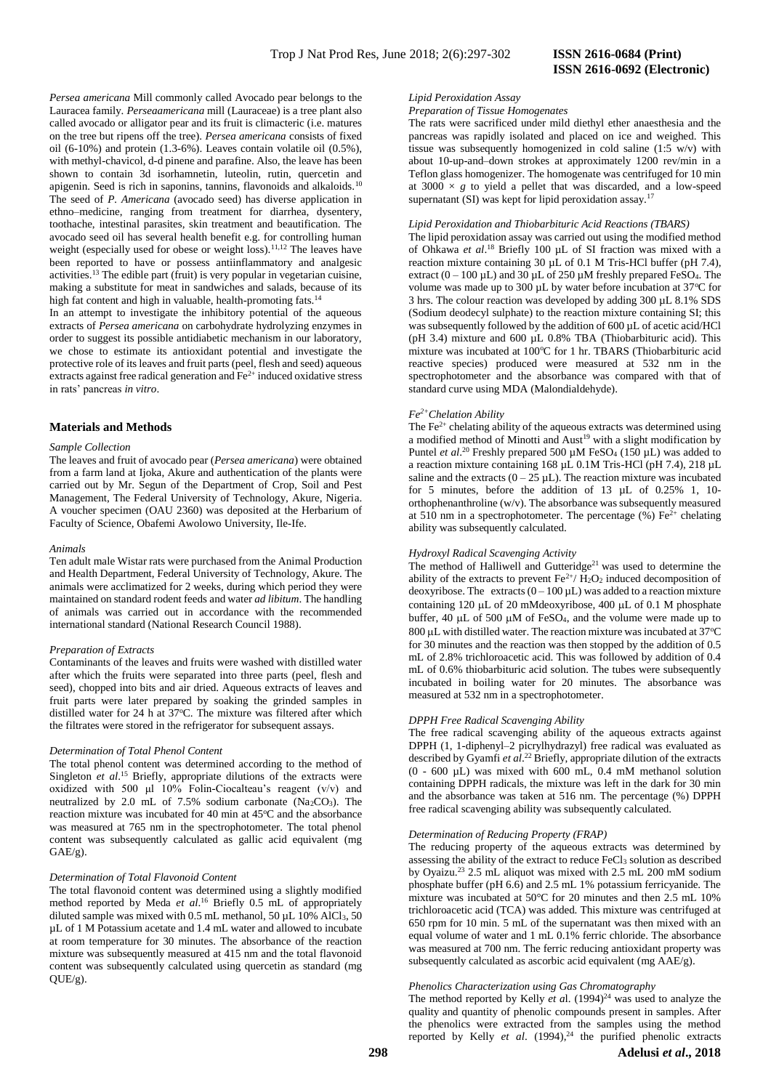#### *Persea americana* Mill commonly called Avocado pear belongs to the Lauracea family. *Perseaamericana* mill (Lauraceae) is a tree plant also called avocado or alligator pear and its fruit is climacteric (i.e. matures on the tree but ripens off the tree). *Persea americana* consists of fixed oil (6-10%) and protein (1.3-6%). Leaves contain volatile oil (0.5%), with methyl-chavicol, d-d pinene and parafine. Also, the leave has been shown to contain 3d isorhamnetin, luteolin, rutin, quercetin and apigenin. Seed is rich in saponins, tannins, flavonoids and alkaloids.<sup>10</sup> The seed of *P. Americana* (avocado seed) has diverse application in ethno–medicine, ranging from treatment for diarrhea, dysentery, toothache, intestinal parasites, skin treatment and beautification. The avocado seed oil has several health benefit e.g. for controlling human weight (especially used for obese or weight loss).<sup>11,12</sup> The leaves have been reported to have or possess antiinflammatory and analgesic activities.<sup>13</sup> The edible part (fruit) is very popular in vegetarian cuisine, making a substitute for meat in sandwiches and salads, because of its high fat content and high in valuable, health-promoting fats.<sup>14</sup>

In an attempt to investigate the inhibitory potential of the aqueous extracts of *Persea americana* on carbohydrate hydrolyzing enzymes in order to suggest its possible antidiabetic mechanism in our laboratory, we chose to estimate its antioxidant potential and investigate the protective role of its leaves and fruit parts (peel, flesh and seed) aqueous extracts against free radical generation and  $Fe^{2+}$  induced oxidative stress in rats' pancreas *in vitro*.

#### **Materials and Methods**

#### *Sample Collection*

The leaves and fruit of avocado pear (*Persea americana*) were obtained from a farm land at Ijoka, Akure and authentication of the plants were carried out by Mr. Segun of the Department of Crop, Soil and Pest Management, The Federal University of Technology, Akure, Nigeria. A voucher specimen (OAU 2360) was deposited at the Herbarium of Faculty of Science, Obafemi Awolowo University, Ile-Ife.

#### *Animals*

Ten adult male Wistar rats were purchased from the Animal Production and Health Department, Federal University of Technology, Akure. The animals were acclimatized for 2 weeks, during which period they were maintained on standard rodent feeds and water *ad libitum*. The handling of animals was carried out in accordance with the recommended international standard (National Research Council 1988).

#### *Preparation of Extracts*

Contaminants of the leaves and fruits were washed with distilled water after which the fruits were separated into three parts (peel, flesh and seed), chopped into bits and air dried. Aqueous extracts of leaves and fruit parts were later prepared by soaking the grinded samples in distilled water for 24 h at 37°C. The mixture was filtered after which the filtrates were stored in the refrigerator for subsequent assays.

#### *Determination of Total Phenol Content*

The total phenol content was determined according to the method of Singleton *et al.*<sup>15</sup> Briefly, appropriate dilutions of the extracts were oxidized with 500 μl 10% Folin-Ciocalteau's reagent (v/v) and neutralized by 2.0 mL of 7.5% sodium carbonate (Na<sub>2</sub>CO<sub>3</sub>). The reaction mixture was incubated for 40 min at  $45^{\circ}$ C and the absorbance was measured at 765 nm in the spectrophotometer. The total phenol content was subsequently calculated as gallic acid equivalent (mg GAE/g).

#### *Determination of Total Flavonoid Content*

The total flavonoid content was determined using a slightly modified method reported by Meda *et al*. <sup>16</sup> Briefly 0.5 mL of appropriately diluted sample was mixed with 0.5 mL methanol, 50  $\mu$ L 10% AlCl<sub>3</sub>, 50 µL of 1 M Potassium acetate and 1.4 mL water and allowed to incubate at room temperature for 30 minutes. The absorbance of the reaction mixture was subsequently measured at 415 nm and the total flavonoid content was subsequently calculated using quercetin as standard (mg  $OUE/g$ ).

# **ISSN 2616-0692 (Electronic)**

# *Lipid Peroxidation Assay*

*Preparation of Tissue Homogenates*

The rats were sacrificed under mild diethyl ether anaesthesia and the pancreas was rapidly isolated and placed on ice and weighed. This tissue was subsequently homogenized in cold saline (1:5 w/v) with about 10-up-and–down strokes at approximately 1200 rev/min in a Teflon glass homogenizer. The homogenate was centrifuged for 10 min at  $3000 \times g$  to yield a pellet that was discarded, and a low-speed supernatant (SI) was kept for lipid peroxidation assay.<sup>17</sup>

#### *Lipid Peroxidation and Thiobarbituric Acid Reactions (TBARS)*

The lipid peroxidation assay was carried out using the modified method of Ohkawa *et al*. <sup>18</sup> Briefly 100 µL of SI fraction was mixed with a reaction mixture containing 30 µL of 0.1 M Tris-HCl buffer (pH 7.4), extract  $(0 - 100 \,\mu L)$  and  $30 \,\mu L$  of 250  $\mu$ M freshly prepared FeSO<sub>4</sub>. The volume was made up to 300  $\mu$ L by water before incubation at 37°C for 3 hrs. The colour reaction was developed by adding 300 µL 8.1% SDS (Sodium deodecyl sulphate) to the reaction mixture containing SI; this was subsequently followed by the addition of 600 µL of acetic acid/HCl (pH 3.4) mixture and 600 µL 0.8% TBA (Thiobarbituric acid). This mixture was incubated at  $100^{\circ}$ C for 1 hr. TBARS (Thiobarbituric acid reactive species) produced were measured at 532 nm in the spectrophotometer and the absorbance was compared with that of standard curve using MDA (Malondialdehyde).

#### *Fe2+Chelation Ability*

The  $Fe<sup>2+</sup>$  chelating ability of the aqueous extracts was determined using a modified method of Minotti and  $Aust<sup>19</sup>$  with a slight modification by Puntel *et al.*<sup>20</sup> Freshly prepared 500 µM FeSO<sub>4</sub> (150 µL) was added to a reaction mixture containing 168 µL 0.1M Tris-HCl (pH 7.4), 218 µL saline and the extracts  $(0 - 25 \mu L)$ . The reaction mixture was incubated for 5 minutes, before the addition of 13 µL of 0.25% 1, 10 orthophenanthroline (w/v). The absorbance was subsequently measured at 510 nm in a spectrophotometer. The percentage  $(\%)$  Fe<sup>2+</sup> chelating ability was subsequently calculated.

# *Hydroxyl Radical Scavenging Activity*

The method of Halliwell and Gutteridge<sup>21</sup> was used to determine the ability of the extracts to prevent  $\text{Fe}^{2+}/\text{H}_2\text{O}_2$  induced decomposition of deoxyribose. The extracts  $(0 - 100 \,\mu L)$  was added to a reaction mixture containing 120  $\mu$ L of 20 mMdeoxyribose, 400  $\mu$ L of 0.1 M phosphate buffer,  $40 \text{ uL}$  of 500  $\mu$ M of FeSO<sub>4</sub>, and the volume were made up to  $800 \mu L$  with distilled water. The reaction mixture was incubated at 37 $\mathrm{°C}$ for 30 minutes and the reaction was then stopped by the addition of 0.5 mL of 2.8% trichloroacetic acid. This was followed by addition of 0.4 mL of 0.6% thiobarbituric acid solution. The tubes were subsequently incubated in boiling water for 20 minutes. The absorbance was measured at 532 nm in a spectrophotometer.

#### *DPPH Free Radical Scavenging Ability*

The free radical scavenging ability of the aqueous extracts against DPPH (1, 1-diphenyl–2 picrylhydrazyl) free radical was evaluated as described by Gyamfi *et al*. <sup>22</sup> Briefly, appropriate dilution of the extracts (0 - 600 µL) was mixed with 600 mL, 0.4 mM methanol solution containing DPPH radicals, the mixture was left in the dark for 30 min and the absorbance was taken at 516 nm. The percentage (%) DPPH free radical scavenging ability was subsequently calculated.

#### *Determination of Reducing Property (FRAP)*

The reducing property of the aqueous extracts was determined by assessing the ability of the extract to reduce FeCl<sup>3</sup> solution as described by Oyaizu.<sup>23</sup> 2.5 mL aliquot was mixed with 2.5 mL 200 mM sodium phosphate buffer (pH 6.6) and 2.5 mL 1% potassium ferricyanide. The mixture was incubated at 50°C for 20 minutes and then 2.5 mL 10% trichloroacetic acid (TCA) was added. This mixture was centrifuged at 650 rpm for 10 min. 5 mL of the supernatant was then mixed with an equal volume of water and 1 mL 0.1% ferric chloride. The absorbance was measured at 700 nm. The ferric reducing antioxidant property was subsequently calculated as ascorbic acid equivalent (mg AAE/g).

### *Phenolics Characterization using Gas Chromatography*

The method reported by Kelly  $et$  al.  $(1994)^{24}$  was used to analyze the quality and quantity of phenolic compounds present in samples. After the phenolics were extracted from the samples using the method reported by Kelly *et al*. (1994), <sup>24</sup> the purified phenolic extracts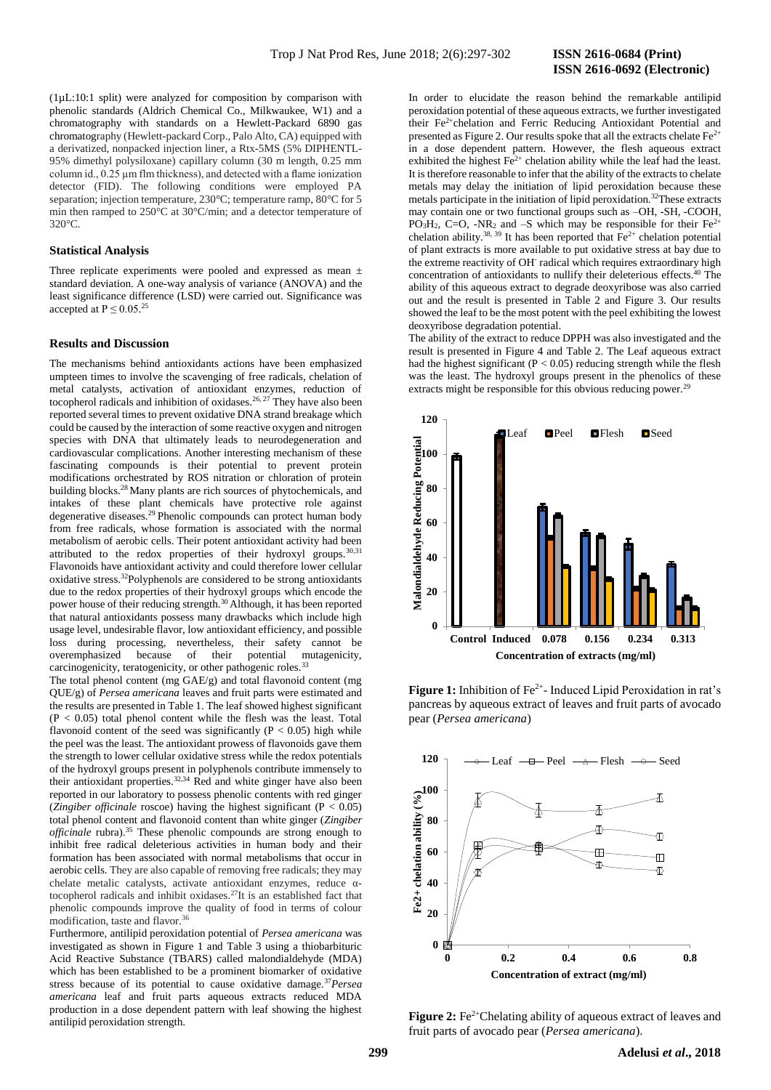(1µL:10:1 split) were analyzed for composition by comparison with phenolic standards (Aldrich Chemical Co., Milkwaukee, W1) and a chromatography with standards on a Hewlett-Packard 6890 gas chromatography (Hewlett-packard Corp., Palo Alto, CA) equipped with a derivatized, nonpacked injection liner, a Rtx-5MS (5% DIPHENTL-95% dimethyl polysiloxane) capillary column (30 m length, 0.25 mm column id., 0.25 µm flm thickness), and detected with a flame ionization detector (FID). The following conditions were employed PA separation; injection temperature, 230°C; temperature ramp, 80°C for 5 min then ramped to 250°C at 30°C/min; and a detector temperature of  $320^\circ C$ 

### **Statistical Analysis**

Three replicate experiments were pooled and expressed as mean  $\pm$ standard deviation. A one-way analysis of variance (ANOVA) and the least significance difference (LSD) were carried out. Significance was accepted at  $P \leq 0.05$ .<sup>25</sup>

#### **Results and Discussion**

The mechanisms behind antioxidants actions have been emphasized umpteen times to involve the scavenging of free radicals, chelation of metal catalysts, activation of antioxidant enzymes, reduction of tocopherol radicals and inhibition of oxidases.<sup>26, 27</sup> They have also been reported several times to prevent oxidative DNA strand breakage which could be caused by the interaction of some reactive oxygen and nitrogen species with DNA that ultimately leads to neurodegeneration and cardiovascular complications. Another interesting mechanism of these fascinating compounds is their potential to prevent protein modifications orchestrated by ROS nitration or chloration of protein building blocks.<sup>28</sup> Many plants are rich sources of phytochemicals, and intakes of these plant chemicals have protective role against degenerative diseases.<sup>29</sup> Phenolic compounds can protect human body from free radicals, whose formation is associated with the normal metabolism of aerobic cells. Their potent antioxidant activity had been attributed to the redox properties of their hydroxyl groups.30,31 Flavonoids have antioxidant activity and could therefore lower cellular oxidative stress.<sup>32</sup>Polyphenols are considered to be strong antioxidants due to the redox properties of their hydroxyl groups which encode the power house of their reducing strength.<sup>30</sup> Although, it has been reported that natural antioxidants possess many drawbacks which include high usage level, undesirable flavor, low antioxidant efficiency, and possible loss during processing, nevertheless, their safety cannot be overemphasized because of their potential mutagenicity, carcinogenicity, teratogenicity, or other pathogenic roles.<sup>33</sup>

The total phenol content (mg GAE/g) and total flavonoid content (mg QUE/g) of *Persea americana* leaves and fruit parts were estimated and the results are presented in Table 1. The leaf showed highest significant  $(P < 0.05)$  total phenol content while the flesh was the least. Total flavonoid content of the seed was significantly ( $P < 0.05$ ) high while the peel was the least. The antioxidant prowess of flavonoids gave them the strength to lower cellular oxidative stress while the redox potentials of the hydroxyl groups present in polyphenols contribute immensely to their antioxidant properties.<sup>32,34</sup> Red and white ginger have also been reported in our laboratory to possess phenolic contents with red ginger (*Zingiber officinale* roscoe) having the highest significant ( $P < 0.05$ ) total phenol content and flavonoid content than white ginger (*Zingiber officinale* rubra). <sup>35</sup> These phenolic compounds are strong enough to inhibit free radical deleterious activities in human body and their formation has been associated with normal metabolisms that occur in aerobic cells. They are also capable of removing free radicals; they may chelate metalic catalysts, activate antioxidant enzymes, reduce αtocopherol radicals and inhibit oxidases.<sup>27</sup>It is an established fact that phenolic compounds improve the quality of food in terms of colour modification, taste and flavor.<sup>36</sup>

Furthermore, antilipid peroxidation potential of *Persea americana* was investigated as shown in Figure 1 and Table 3 using a thiobarbituric Acid Reactive Substance (TBARS) called malondialdehyde (MDA) which has been established to be a prominent biomarker of oxidative stress because of its potential to cause oxidative damage.<sup>37</sup>*Persea americana* leaf and fruit parts aqueous extracts reduced MDA production in a dose dependent pattern with leaf showing the highest antilipid peroxidation strength.

In order to elucidate the reason behind the remarkable antilipid peroxidation potential of these aqueous extracts, we further investigated their Fe2+chelation and Ferric Reducing Antioxidant Potential and presented as Figure 2. Our results spoke that all the extracts chelate  $Fe^{2+}$ in a dose dependent pattern. However, the flesh aqueous extract exhibited the highest  $Fe<sup>2+</sup>$  chelation ability while the leaf had the least. It is therefore reasonable to infer that the ability of the extracts to chelate metals may delay the initiation of lipid peroxidation because these metals participate in the initiation of lipid peroxidation.<sup>32</sup>These extracts may contain one or two functional groups such as –OH, -SH, -COOH, PO<sub>3</sub>H<sub>2</sub>, C=O, -NR<sub>2</sub> and -S which may be responsible for their Fe<sup>2+</sup> chelation ability.<sup>38, 39</sup> It has been reported that  $Fe<sup>2+</sup>$  chelation potential of plant extracts is more available to put oxidative stress at bay due to the extreme reactivity of OH<sup>-</sup> radical which requires extraordinary high concentration of antioxidants to nullify their deleterious effects.<sup>40</sup> The ability of this aqueous extract to degrade deoxyribose was also carried out and the result is presented in Table 2 and Figure 3. Our results showed the leaf to be the most potent with the peel exhibiting the lowest deoxyribose degradation potential.

The ability of the extract to reduce DPPH was also investigated and the result is presented in Figure 4 and Table 2. The Leaf aqueous extract had the highest significant ( $P < 0.05$ ) reducing strength while the flesh was the least. The hydroxyl groups present in the phenolics of these extracts might be responsible for this obvious reducing power.<sup>29</sup>



Figure 1: Inhibition of Fe<sup>2+</sup>- Induced Lipid Peroxidation in rat's pancreas by aqueous extract of leaves and fruit parts of avocado pear (*Persea americana*)



**Figure 2:** Fe<sup>2+</sup>Chelating ability of aqueous extract of leaves and fruit parts of avocado pear (*Persea americana*).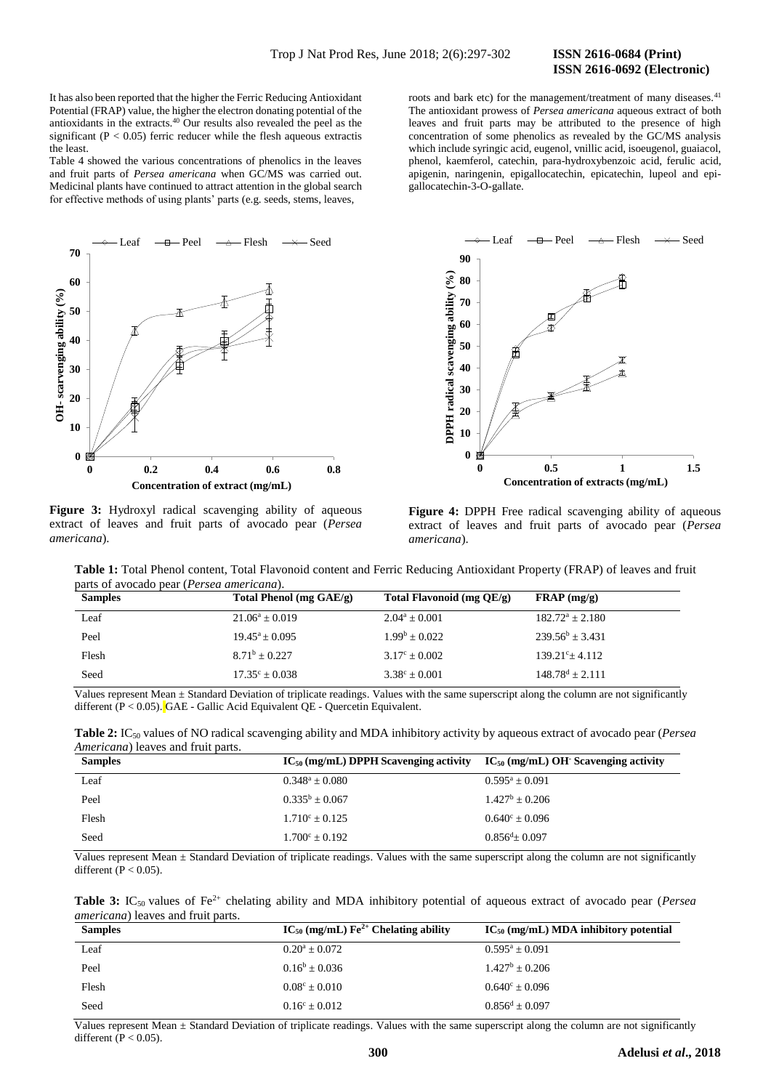# **ISSN 2616-0692 (Electronic)**

It has also been reported that the higher the Ferric Reducing Antioxidant Potential (FRAP) value, the higher the electron donating potential of the antioxidants in the extracts.<sup>40</sup> Our results also revealed the peel as the significant ( $P < 0.05$ ) ferric reducer while the flesh aqueous extractis the least.

Table 4 showed the various concentrations of phenolics in the leaves and fruit parts of *Persea americana* when GC/MS was carried out. Medicinal plants have continued to attract attention in the global search for effective methods of using plants' parts (e.g. seeds, stems, leaves,



**Figure 3:** Hydroxyl radical scavenging ability of aqueous extract of leaves and fruit parts of avocado pear (*Persea americana*).

roots and bark etc) for the management/treatment of many diseases.<sup>41</sup> The antioxidant prowess of *Persea americana* aqueous extract of both leaves and fruit parts may be attributed to the presence of high concentration of some phenolics as revealed by the GC/MS analysis which include syringic acid, eugenol, vnillic acid, isoeugenol, guaiacol, phenol, kaemferol, catechin, para-hydroxybenzoic acid, ferulic acid, apigenin, naringenin, epigallocatechin, epicatechin, lupeol and epigallocatechin-3-O-gallate.



**Figure 4:** DPPH Free radical scavenging ability of aqueous extract of leaves and fruit parts of avocado pear (*Persea americana*).

**Table 1:** Total Phenol content, Total Flavonoid content and Ferric Reducing Antioxidant Property (FRAP) of leaves and fruit parts of avocado pear (*Persea americana*).

| <b>Samples</b> | Total Phenol (mg $GAE/g$ ) | Total Flavonoid (mg QE/g) | $\mathbf{FRAP} \left( \frac{mg}{g} \right)$ |
|----------------|----------------------------|---------------------------|---------------------------------------------|
| Leaf           | $21.06^a \pm 0.019$        | $2.04^a \pm 0.001$        | $182.72^a \pm 2.180$                        |
| Peel           | $19.45^a \pm 0.095$        | $1.99^{\rm b} + 0.022$    | $239.56^b \pm 3.431$                        |
| Flesh          | $8.71^b + 0.227$           | $3.17^{\circ} \pm 0.002$  | $139.21^{\circ}$ ± 4.112                    |
| Seed           | $17.35^{\circ} \pm 0.038$  | $3.38^{\circ} \pm 0.001$  | $148.78^d \pm 2.111$                        |

Values represent Mean ± Standard Deviation of triplicate readings. Values with the same superscript along the column are not significantly different (P < 0.05). GAE - Gallic Acid Equivalent QE - Quercetin Equivalent.

| Table 2: IC <sub>50</sub> values of NO radical scavenging ability and MDA inhibitory activity by aqueous extract of avocado pear (Persea |  |  |  |
|------------------------------------------------------------------------------------------------------------------------------------------|--|--|--|
| <i>Americana</i> ) leaves and fruit parts.                                                                                               |  |  |  |

| <b>Samples</b> | $IC_{50}$ (mg/mL) DPPH Scavenging activity $IC_{50}$ (mg/mL) OH Scavenging activity |                           |
|----------------|-------------------------------------------------------------------------------------|---------------------------|
| Leaf           | $0.348^a \pm 0.080$                                                                 | $0.595^a \pm 0.091$       |
| Peel           | $0.335^b + 0.067$                                                                   | $1.427^b + 0.206$         |
| Flesh          | $1.710^{\circ} \pm 0.125$                                                           | $0.640^{\circ} \pm 0.096$ |
| Seed           | $1.700^{\circ} + 0.192$                                                             | $0.856^{d} + 0.097$       |

Values represent Mean  $\pm$  Standard Deviation of triplicate readings. Values with the same superscript along the column are not significantly different ( $P < 0.05$ ).

**Table 3:** IC<sub>50</sub> values of Fe<sup>2+</sup> chelating ability and MDA inhibitory potential of aqueous extract of avocado pear (*Persea americana*) leaves and fruit parts.

| <b>Samples</b> | $IC_{50}$ (mg/mL) $Fe^{2+}$ Chelating ability | $IC_{50}$ (mg/mL) MDA inhibitory potential |
|----------------|-----------------------------------------------|--------------------------------------------|
| Leaf           | $0.20^a \pm 0.072$                            | $0.595^a \pm 0.091$                        |
| Peel           | $0.16^b + 0.036$                              | $1.427^b + 0.206$                          |
| Flesh          | $0.08^{\circ} \pm 0.010$                      | $0.640^{\circ} \pm 0.096$                  |
| Seed           | $0.16^{\circ} \pm 0.012$                      | $0.856^d + 0.097$                          |

Values represent Mean ± Standard Deviation of triplicate readings. Values with the same superscript along the column are not significantly different ( $P < 0.05$ ).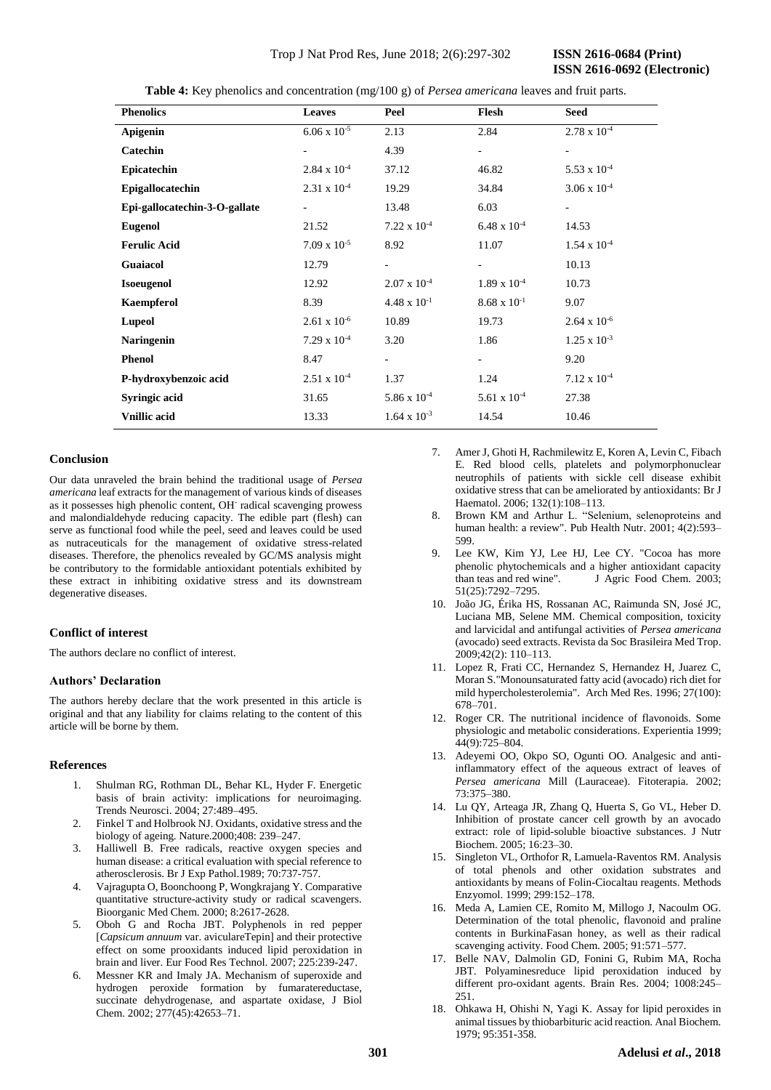| <b>Phenolics</b>              | <b>Leaves</b>            | Peel                     | Flesh                    | <b>Seed</b>              |
|-------------------------------|--------------------------|--------------------------|--------------------------|--------------------------|
| Apigenin                      | $6.06 \times 10^{-5}$    | 2.13                     | 2.84                     | $2.78 \times 10^{-4}$    |
| <b>Catechin</b>               |                          | 4.39                     | $\overline{\phantom{0}}$ | $\overline{\phantom{a}}$ |
| Epicatechin                   | $2.84 \times 10^{-4}$    | 37.12                    | 46.82                    | $5.53 \times 10^{-4}$    |
| Epigallocatechin              | $2.31 \times 10^{-4}$    | 19.29                    | 34.84                    | $3.06 \times 10^{-4}$    |
| Epi-gallocatechin-3-O-gallate | $\overline{\phantom{a}}$ | 13.48                    | 6.03                     | $\overline{\phantom{a}}$ |
| <b>Eugenol</b>                | 21.52                    | $7.22 \times 10^{-4}$    | $6.48 \times 10^{-4}$    | 14.53                    |
| <b>Ferulic Acid</b>           | $7.09 \times 10^{-5}$    | 8.92                     | 11.07                    | $1.54 \times 10^{-4}$    |
| <b>Guaiacol</b>               | 12.79                    |                          |                          | 10.13                    |
| <b>Isoeugenol</b>             | 12.92                    | $2.07 \times 10^{-4}$    | $1.89 \times 10^{-4}$    | 10.73                    |
| <b>Kaempferol</b>             | 8.39                     | $4.48 \times 10^{-1}$    | $8.68 \times 10^{-1}$    | 9.07                     |
| <b>Lupeol</b>                 | $2.61 \times 10^{-6}$    | 10.89                    | 19.73                    | $2.64 \times 10^{-6}$    |
| <b>Naringenin</b>             | $7.29 \times 10^{-4}$    | 3.20                     | 1.86                     | $1.25 \times 10^{-3}$    |
| <b>Phenol</b>                 | 8.47                     | $\overline{\phantom{0}}$ | $\overline{\phantom{0}}$ | 9.20                     |
| P-hydroxybenzoic acid         | $2.51 \times 10^{-4}$    | 1.37                     | 1.24                     | $7.12 \times 10^{-4}$    |
| Syringic acid                 | 31.65                    | 5.86 x $10^{-4}$         | 5.61 x $10^{-4}$         | 27.38                    |
| <b>Vnillic</b> acid           | 13.33                    | $1.64 \times 10^{-3}$    | 14.54                    | 10.46                    |

**Table 4:** Key phenolics and concentration (mg/100 g) of *Persea americana* leaves and fruit parts.

#### **Conclusion**

Our data unraveled the brain behind the traditional usage of *Persea americana* leaf extracts for the management of various kinds of diseases as it possesses high phenolic content, OH<sup>-</sup> radical scavenging prowess and malondialdehyde reducing capacity. The edible part (flesh) can serve as functional food while the peel, seed and leaves could be used as nutraceuticals for the management of oxidative stress-related diseases. Therefore, the phenolics revealed by GC/MS analysis might be contributory to the formidable antioxidant potentials exhibited by these extract in inhibiting oxidative stress and its downstream degenerative diseases.

# **Conflict of interest**

The authors declare no conflict of interest.

## **Authors' Declaration**

The authors hereby declare that the work presented in this article is original and that any liability for claims relating to the content of this article will be borne by them.

#### **References**

- 1. Shulman RG, Rothman DL, Behar KL, Hyder F. Energetic basis of brain activity: implications for neuroimaging. Trends Neurosci. 2004; 27:489–495.
- 2. Finkel T and Holbrook NJ. Oxidants, oxidative stress and the biology of ageing. Nature.2000;408: 239–247.
- 3. Halliwell B. Free radicals, reactive oxygen species and human disease: a critical evaluation with special reference to atherosclerosis. Br J Exp Pathol.1989; 70:737-757.
- 4. Vajragupta O, Boonchoong P, Wongkrajang Y. Comparative quantitative structure-activity study or radical scavengers. Bioorganic Med Chem. 2000; 8:2617-2628.
- 5. Oboh G and Rocha JBT. Polyphenols in red pepper [*Capsicum annuum* var. aviculareTepin] and their protective effect on some prooxidants induced lipid peroxidation in brain and liver. Eur Food Res Technol. 2007; 225:239-247.
- 6. Messner KR and Imaly JA. Mechanism of superoxide and hydrogen peroxide formation by fumaratereductase, succinate dehydrogenase, and aspartate oxidase, J Biol Chem. 2002; 277(45):42653–71.
- 7. Amer J, Ghoti H, Rachmilewitz E, Koren A, Levin C, Fibach E. Red blood cells, platelets and polymorphonuclear neutrophils of patients with sickle cell disease exhibit oxidative stress that can be ameliorated by antioxidants: Br J Haematol. 2006; 132(1):108–113.
- 8. Brown KM and Arthur L. "Selenium, selenoproteins and human health: a review". Pub Health Nutr. 2001; 4(2):593– 599.
- 9. Lee KW, Kim YJ, Lee HJ, Lee CY. "Cocoa has more phenolic phytochemicals and a higher antioxidant capacity than teas and red wine". J Agric Food Chem. 2003; 51(25):7292–7295.
- 10. João JG, Érika HS, Rossanan AC, Raimunda SN, José JC, Luciana MB, Selene MM. Chemical composition, toxicity and larvicidal and antifungal activities of *Persea americana* (avocado) seed extracts. Revista da Soc Brasileira Med Trop. 2009;42(2): 110–113.
- 11. Lopez R, Frati CC, Hernandez S, Hernandez H, Juarez C, Moran S."Monounsaturated fatty acid (avocado) rich diet for mild hypercholesterolemia". Arch Med Res. 1996; 27(100): 678–701.
- 12. Roger CR. The nutritional incidence of flavonoids. Some physiologic and metabolic considerations. Experientia 1999; 44(9):725–804.
- 13. Adeyemi OO, Okpo SO, Ogunti OO. Analgesic and antiinflammatory effect of the aqueous extract of leaves of *Persea americana* Mill (Lauraceae). Fitoterapia. 2002; 73:375–380.
- 14. Lu QY, Arteaga JR, Zhang Q, Huerta S, Go VL, Heber D. Inhibition of prostate cancer cell growth by an avocado extract: role of lipid-soluble bioactive substances. J Nutr Biochem. 2005; 16:23–30.
- 15. Singleton VL, Orthofor R, Lamuela-Raventos RM. Analysis of total phenols and other oxidation substrates and antioxidants by means of Folin-Ciocaltau reagents. Methods Enzyomol. 1999; 299:152–178.
- 16. Meda A, Lamien CE, Romito M, Millogo J, Nacoulm OG. Determination of the total phenolic, flavonoid and praline contents in BurkinaFasan honey, as well as their radical scavenging activity. Food Chem. 2005; 91:571–577.
- 17. Belle NAV, Dalmolin GD, Fonini G, Rubim MA, Rocha JBT. Polyaminesreduce lipid peroxidation induced by different pro-oxidant agents. Brain Res. 2004; 1008:245– 251.
- 18. Ohkawa H, Ohishi N, Yagi K. Assay for lipid peroxides in animal tissues by thiobarbituric acid reaction. Anal Biochem. 1979; 95:351-358.